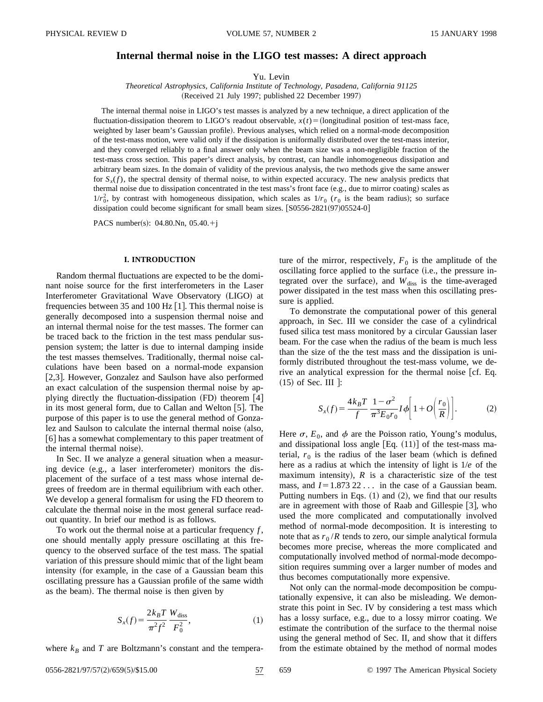## **Internal thermal noise in the LIGO test masses: A direct approach**

Yu. Levin

*Theoretical Astrophysics, California Institute of Technology, Pasadena, California 91125* (Received 21 July 1997; published 22 December 1997)

The internal thermal noise in LIGO's test masses is analyzed by a new technique, a direct application of the fluctuation-dissipation theorem to LIGO's readout observable,  $x(t) =$ (longitudinal position of test-mass face, weighted by laser beam's Gaussian profile). Previous analyses, which relied on a normal-mode decomposition of the test-mass motion, were valid only if the dissipation is uniformally distributed over the test-mass interior, and they converged reliably to a final answer only when the beam size was a non-negligible fraction of the test-mass cross section. This paper's direct analysis, by contrast, can handle inhomogeneous dissipation and arbitrary beam sizes. In the domain of validity of the previous analysis, the two methods give the same answer for  $S<sub>x</sub>(f)$ , the spectral density of thermal noise, to within expected accuracy. The new analysis predicts that thermal noise due to dissipation concentrated in the test mass's front face (e.g., due to mirror coating) scales as  $1/r_0^2$ , by contrast with homogeneous dissipation, which scales as  $1/r_0$  ( $r_0$  is the beam radius); so surface dissipation could become significant for small beam sizes.  $[$ S0556-2821(97)05524-0<sup> $]$ </sup>

PACS number(s): 04.80.Nn,  $05.40.+j$ 

#### **I. INTRODUCTION**

Random thermal fluctuations are expected to be the dominant noise source for the first interferometers in the Laser Interferometer Gravitational Wave Observatory (LIGO) at frequencies between 35 and 100 Hz  $[1]$ . This thermal noise is generally decomposed into a suspension thermal noise and an internal thermal noise for the test masses. The former can be traced back to the friction in the test mass pendular suspension system; the latter is due to internal damping inside the test masses themselves. Traditionally, thermal noise calculations have been based on a normal-mode expansion [2,3]. However, Gonzalez and Saulson have also performed an exact calculation of the suspension thermal noise by applying directly the fluctuation-dissipation  $(FD)$  theorem  $[4]$ in its most general form, due to Callan and Welton  $[5]$ . The purpose of this paper is to use the general method of Gonzalez and Saulson to calculate the internal thermal noise (also, [6] has a somewhat complementary to this paper treatment of the internal thermal noise).

In Sec. II we analyze a general situation when a measuring device  $(e.g., a laser interferometer)$  monitors the displacement of the surface of a test mass whose internal degrees of freedom are in thermal equilibrium with each other. We develop a general formalism for using the FD theorem to calculate the thermal noise in the most general surface readout quantity. In brief our method is as follows.

To work out the thermal noise at a particular frequency *f* , one should mentally apply pressure oscillating at this frequency to the observed surface of the test mass. The spatial variation of this pressure should mimic that of the light beam intensity (for example, in the case of a Gaussian beam this oscillating pressure has a Gaussian profile of the same width as the beam). The thermal noise is then given by

$$
S_x(f) = \frac{2k_B T}{\pi^2 f^2} \frac{W_{\text{diss}}}{F_0^2},\tag{1}
$$

where  $k_B$  and *T* are Boltzmann's constant and the tempera-

ture of the mirror, respectively,  $F_0$  is the amplitude of the oscillating force applied to the surface (i.e., the pressure integrated over the surface), and  $W_{\text{diss}}$  is the time-averaged power dissipated in the test mass when this oscillating pressure is applied.

To demonstrate the computational power of this general approach, in Sec. III we consider the case of a cylindrical fused silica test mass monitored by a circular Gaussian laser beam. For the case when the radius of the beam is much less than the size of the the test mass and the dissipation is uniformly distributed throughout the test-mass volume, we derive an analytical expression for the thermal noise  $[cf. Eq.$  $(15)$  of Sec. III  $\mid$ :

$$
S_x(f) = \frac{4k_BT}{f} \frac{1-\sigma^2}{\pi^3 E_0 r_0} I \phi \left[ 1 + O\left(\frac{r_0}{R}\right) \right].
$$
 (2)

Here  $\sigma$ ,  $E_0$ , and  $\phi$  are the Poisson ratio, Young's modulus, and dissipational loss angle  $[Eq. (11)]$  of the test-mass material,  $r_0$  is the radius of the laser beam (which is defined here as a radius at which the intensity of light is 1/*e* of the maximum intensity),  $R$  is a characteristic size of the test mass, and  $I=1.873$  22... in the case of a Gaussian beam. Putting numbers in Eqs.  $(1)$  and  $(2)$ , we find that our results are in agreement with those of Raab and Gillespie [3], who used the more complicated and computationally involved method of normal-mode decomposition. It is interesting to note that as  $r_0/R$  tends to zero, our simple analytical formula becomes more precise, whereas the more complicated and computationally involved method of normal-mode decomposition requires summing over a larger number of modes and thus becomes computationally more expensive.

Not only can the normal-mode decomposition be computationally expensive, it can also be misleading. We demonstrate this point in Sec. IV by considering a test mass which has a lossy surface, e.g., due to a lossy mirror coating. We estimate the contribution of the surface to the thermal noise using the general method of Sec. II, and show that it differs from the estimate obtained by the method of normal modes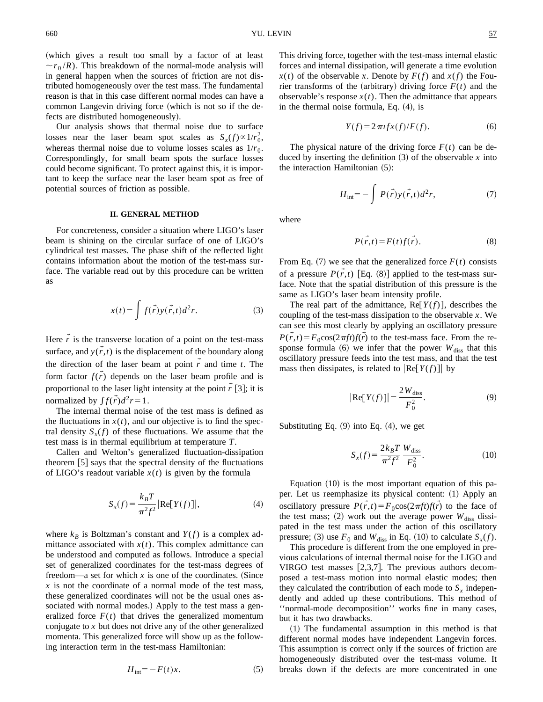(which gives a result too small by a factor of at least  $\sim r_0 / R$ ). This breakdown of the normal-mode analysis will in general happen when the sources of friction are not distributed homogeneously over the test mass. The fundamental reason is that in this case different normal modes can have a common Langevin driving force (which is not so if the defects are distributed homogeneously).

Our analysis shows that thermal noise due to surface losses near the laser beam spot scales as  $S_x(f) \propto 1/r_0^2$ , whereas thermal noise due to volume losses scales as  $1/r_0$ . Correspondingly, for small beam spots the surface losses could become significant. To protect against this, it is important to keep the surface near the laser beam spot as free of potential sources of friction as possible.

### **II. GENERAL METHOD**

For concreteness, consider a situation where LIGO's laser beam is shining on the circular surface of one of LIGO's cylindrical test masses. The phase shift of the reflected light contains information about the motion of the test-mass surface. The variable read out by this procedure can be written as

$$
x(t) = \int f(\vec{r}) y(\vec{r}, t) d^2 r.
$$
 (3)

Here  $\vec{r}$  is the transverse location of a point on the test-mass surface, and  $y(\vec{r},t)$  is the displacement of the boundary along the direction of the laser beam at point  $\vec{r}$  and time *t*. The form factor  $f(\vec{r})$  depends on the laser beam profile and is proportional to the laser light intensity at the point  $\vec{r}$  [3]; it is normalized by  $\int f(\vec{r}) d^2r = 1$ .

The internal thermal noise of the test mass is defined as the fluctuations in  $x(t)$ , and our objective is to find the spectral density  $S<sub>x</sub>(f)$  of these fluctuations. We assume that the test mass is in thermal equilibrium at temperature *T*.

Callen and Welton's generalized fluctuation-dissipation theorem  $\begin{bmatrix} 5 \end{bmatrix}$  says that the spectral density of the fluctuations of LIGO's readout variable  $x(t)$  is given by the formula

$$
S_x(f) = \frac{k_B T}{\pi^2 f^2} |\text{Re}[Y(f)]|,
$$
 (4)

where  $k_B$  is Boltzman's constant and  $Y(f)$  is a complex admittance associated with  $x(t)$ . This complex admittance can be understood and computed as follows. Introduce a special set of generalized coordinates for the test-mass degrees of freedom—a set for which  $x$  is one of the coordinates. (Since *x* is not the coordinate of a normal mode of the test mass, these generalized coordinates will not be the usual ones associated with normal modes.) Apply to the test mass a generalized force  $F(t)$  that drives the generalized momentum conjugate to *x* but does not drive any of the other generalized momenta. This generalized force will show up as the following interaction term in the test-mass Hamiltonian:

$$
H_{\text{int}} = -F(t)x.\tag{5}
$$

This driving force, together with the test-mass internal elastic forces and internal dissipation, will generate a time evolution  $x(t)$  of the observable *x*. Denote by  $F(f)$  and  $x(f)$  the Fourier transforms of the (arbitrary) driving force  $F(t)$  and the observable's response  $x(t)$ . Then the admittance that appears in the thermal noise formula, Eq.  $(4)$ , is

$$
Y(f) = 2\pi i f x(f)/F(f). \tag{6}
$$

The physical nature of the driving force  $F(t)$  can be deduced by inserting the definition  $(3)$  of the observable *x* into the interaction Hamiltonian  $(5)$ :

$$
H_{\text{int}} = -\int P(\vec{r}) y(\vec{r}, t) d^2 r,\tag{7}
$$

where

$$
P(\vec{r},t) = F(t)f(\vec{r}).\tag{8}
$$

From Eq. (7) we see that the generalized force  $F(t)$  consists of a pressure  $P(\vec{r},t)$  [Eq. (8)] applied to the test-mass surface. Note that the spatial distribution of this pressure is the same as LIGO's laser beam intensity profile.

The real part of the admittance,  $\text{Re}[Y(f)]$ , describes the coupling of the test-mass dissipation to the observable *x*. We can see this most clearly by applying an oscillatory pressure  $P(\vec{r},t) = F_0 \cos(2\pi f t) f(\vec{r})$  to the test-mass face. From the response formula  $(6)$  we infer that the power  $W_{\text{diss}}$  that this oscillatory pressure feeds into the test mass, and that the test mass then dissipates, is related to  $\left| \text{Re} \left[ Y(f) \right] \right|$  by

$$
|\text{Re}[Y(f)]| = \frac{2W_{\text{diss}}}{F_0^2}.
$$
 (9)

Substituting Eq.  $(9)$  into Eq.  $(4)$ , we get

$$
S_x(f) = \frac{2k_B T}{\pi^2 f^2} \frac{W_{\text{diss}}}{F_0^2}.
$$
 (10)

Equation  $(10)$  is the most important equation of this paper. Let us reemphasize its physical content: (1) Apply an oscillatory pressure  $\vec{P}(r, t) = F_0 \cos(2\pi ft) f(r)$  to the face of the test mass;  $(2)$  work out the average power  $W_{\text{diss}}$  dissipated in the test mass under the action of this oscillatory pressure; (3) use  $F_0$  and  $W_{\text{diss}}$  in Eq. (10) to calculate  $S_x(f)$ .

This procedure is different from the one employed in previous calculations of internal thermal noise for the LIGO and VIRGO test masses  $[2,3,7]$ . The previous authors decomposed a test-mass motion into normal elastic modes; then they calculated the contribution of each mode to  $S<sub>x</sub>$  independently and added up these contributions. This method of ''normal-mode decomposition'' works fine in many cases, but it has two drawbacks.

 $(1)$  The fundamental assumption in this method is that different normal modes have independent Langevin forces. This assumption is correct only if the sources of friction are homogeneously distributed over the test-mass volume. It breaks down if the defects are more concentrated in one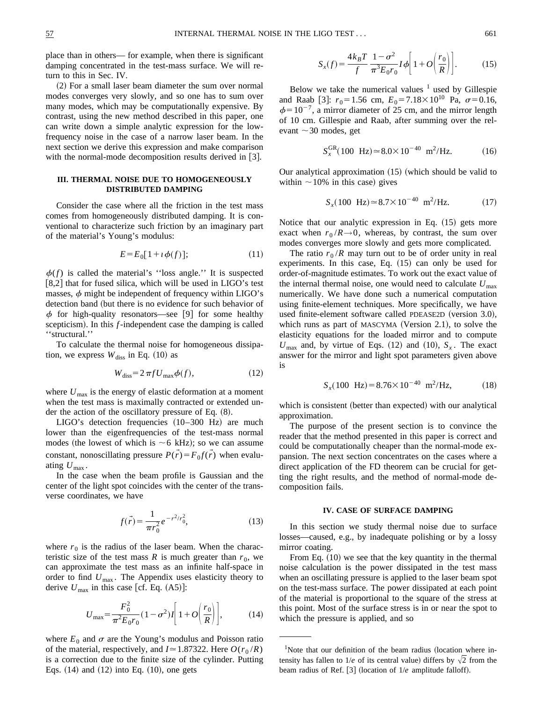place than in others— for example, when there is significant damping concentrated in the test-mass surface. We will return to this in Sec. IV.

(2) For a small laser beam diameter the sum over normal modes converges very slowly, and so one has to sum over many modes, which may be computationally expensive. By contrast, using the new method described in this paper, one can write down a simple analytic expression for the lowfrequency noise in the case of a narrow laser beam. In the next section we derive this expression and make comparison with the normal-mode decomposition results derived in  $[3]$ .

## **III. THERMAL NOISE DUE TO HOMOGENEOUSLY DISTRIBUTED DAMPING**

Consider the case where all the friction in the test mass comes from homogeneously distributed damping. It is conventional to characterize such friction by an imaginary part of the material's Young's modulus:

$$
E = E_0[1 + i\phi(f)];\tag{11}
$$

 $\phi(f)$  is called the material's "loss angle." It is suspected  $[8,2]$  that for fused silica, which will be used in LIGO's test masses,  $\phi$  might be independent of frequency within LIGO's detection band (but there is no evidence for such behavior of  $\phi$  for high-quality resonators—see [9] for some healthy scepticism). In this *f*-independent case the damping is called ''structural.''

To calculate the thermal noise for homogeneous dissipation, we express  $W_{\text{diss}}$  in Eq. (10) as

$$
W_{\text{diss}} = 2\pi f U_{\text{max}} \phi(f),\tag{12}
$$

where  $U_{\text{max}}$  is the energy of elastic deformation at a moment when the test mass is maximally contracted or extended under the action of the oscillatory pressure of Eq.  $(8)$ .

LIGO's detection frequencies  $(10-300 \text{ Hz})$  are much lower than the eigenfrequencies of the test-mass normal modes (the lowest of which is  $\sim$  6 kHz); so we can assume constant, nonoscillating pressure  $P(\vec{r}) = F_0 f(\vec{r})$  when evaluating  $U_{\text{max}}$ .

In the case when the beam profile is Gaussian and the center of the light spot coincides with the center of the transverse coordinates, we have

$$
f(\vec{r}) = \frac{1}{\pi r_0^2} e^{-r^2/r_0^2},
$$
\n(13)

where  $r_0$  is the radius of the laser beam. When the characteristic size of the test mass *R* is much greater than  $r_0$ , we can approximate the test mass as an infinite half-space in order to find *U*max . The Appendix uses elasticity theory to derive  $U_{\text{max}}$  in this case [cf. Eq.  $(A5)$ ]:

$$
U_{\text{max}} = \frac{F_0^2}{\pi^2 E_0 r_0} (1 - \sigma^2) I \left[ 1 + O\left(\frac{r_0}{R}\right) \right],\tag{14}
$$

where  $E_0$  and  $\sigma$  are the Young's modulus and Poisson ratio of the material, respectively, and  $I \approx 1.87322$ . Here  $O(r_0 / R)$ is a correction due to the finite size of the cylinder. Putting Eqs.  $(14)$  and  $(12)$  into Eq.  $(10)$ , one gets

$$
S_x(f) = \frac{4k_B T}{f} \frac{1 - \sigma^2}{\pi^3 E_0 r_0} I \phi \left[ 1 + O\left(\frac{r_0}{R}\right) \right].
$$
 (15)

Below we take the numerical values  $1$  used by Gillespie and Raab [3]:  $r_0 = 1.56$  cm,  $E_0 = 7.18 \times 10^{10}$  Pa,  $\sigma = 0.16$ ,  $\phi=10^{-7}$ , a mirror diameter of 25 cm, and the mirror length of 10 cm. Gillespie and Raab, after summing over the relevant  $\sim$  30 modes, get

$$
S_x^{\text{GR}}(100 \text{ Hz}) \approx 8.0 \times 10^{-40} \text{ m}^2/\text{Hz}.
$$
 (16)

Our analytical approximation  $(15)$  (which should be valid to within  $\sim$  10% in this case) gives

$$
S_x(100 \text{ Hz}) \approx 8.7 \times 10^{-40} \text{ m}^2/\text{Hz}.
$$
 (17)

Notice that our analytic expression in Eq.  $(15)$  gets more exact when  $r_0 / R \rightarrow 0$ , whereas, by contrast, the sum over modes converges more slowly and gets more complicated.

The ratio  $r_0/R$  may turn out to be of order unity in real experiments. In this case, Eq.  $(15)$  can only be used for order-of-magnitude estimates. To work out the exact value of the internal thermal noise, one would need to calculate  $U_{\text{max}}$ numerically. We have done such a numerical computation using finite-element techniques. More specifically, we have used finite-element software called PDEASE2D (version  $3.0$ ), which runs as part of MASCYMA (Version 2.1), to solve the elasticity equations for the loaded mirror and to compute  $U_{\text{max}}$  and, by virtue of Eqs. (12) and (10),  $S_x$ . The exact answer for the mirror and light spot parameters given above is

$$
S_x(100 \text{ Hz}) = 8.76 \times 10^{-40} \text{ m}^2/\text{Hz}, \tag{18}
$$

which is consistent (better than expected) with our analytical approximation.

The purpose of the present section is to convince the reader that the method presented in this paper is correct and could be computationally cheaper than the normal-mode expansion. The next section concentrates on the cases where a direct application of the FD theorem can be crucial for getting the right results, and the method of normal-mode decomposition fails.

### **IV. CASE OF SURFACE DAMPING**

In this section we study thermal noise due to surface losses—caused, e.g., by inadequate polishing or by a lossy mirror coating.

From Eq.  $(10)$  we see that the key quantity in the thermal noise calculation is the power dissipated in the test mass when an oscillating pressure is applied to the laser beam spot on the test-mass surface. The power dissipated at each point of the material is proportional to the square of the stress at this point. Most of the surface stress is in or near the spot to which the pressure is applied, and so

<sup>&</sup>lt;sup>1</sup>Note that our definition of the beam radius (location where intensity has fallen to  $1/e$  of its central value) differs by  $\sqrt{2}$  from the beam radius of Ref.  $\lceil 3 \rceil$  (location of  $1/e$  amplitude falloff).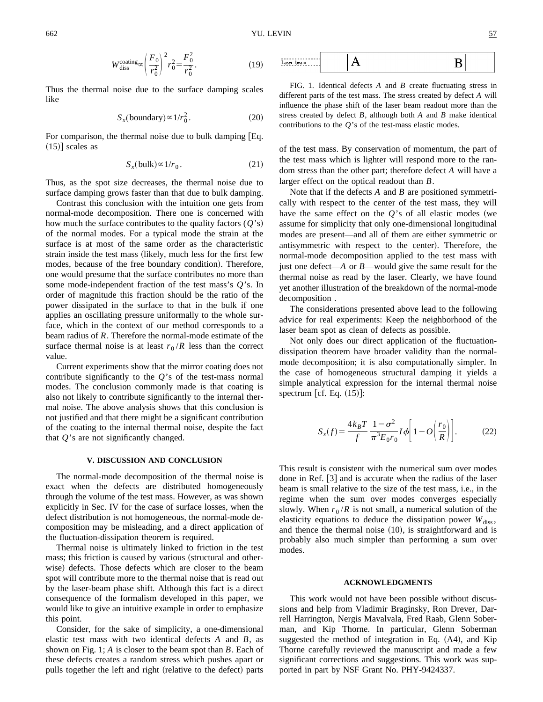$$
W_{\text{diss}}^{\text{coating}} \propto \left(\frac{F_0}{r_0^2}\right)^2 r_0^2 = \frac{F_0^2}{r_0^2}.
$$
 (19)

Thus the thermal noise due to the surface damping scales like

$$
S_x(\text{boundary}) \propto 1/r_0^2. \tag{20}
$$

For comparison, the thermal noise due to bulk damping  $[Eq.$  $(15)$  scales as

$$
S_x(\text{bulk}) \propto 1/r_0. \tag{21}
$$

Thus, as the spot size decreases, the thermal noise due to surface damping grows faster than that due to bulk damping.

Contrast this conclusion with the intuition one gets from normal-mode decomposition. There one is concerned with how much the surface contributes to the quality factors  $(Q's)$ of the normal modes. For a typical mode the strain at the surface is at most of the same order as the characteristic strain inside the test mass (likely, much less for the first few modes, because of the free boundary condition). Therefore, one would presume that the surface contributes no more than some mode-independent fraction of the test mass's *Q*'s. In order of magnitude this fraction should be the ratio of the power dissipated in the surface to that in the bulk if one applies an oscillating pressure uniformally to the whole surface, which in the context of our method corresponds to a beam radius of *R*. Therefore the normal-mode estimate of the surface thermal noise is at least  $r_0/R$  less than the correct value.

Current experiments show that the mirror coating does not contribute significantly to the *Q*'s of the test-mass normal modes. The conclusion commonly made is that coating is also not likely to contribute significantly to the internal thermal noise. The above analysis shows that this conclusion is not justified and that there might be a significant contribution of the coating to the internal thermal noise, despite the fact that *Q*'s are not significantly changed.

## **V. DISCUSSION AND CONCLUSION**

The normal-mode decomposition of the thermal noise is exact when the defects are distributed homogeneously through the volume of the test mass. However, as was shown explicitly in Sec. IV for the case of surface losses, when the defect distribution is not homogeneous, the normal-mode decomposition may be misleading, and a direct application of the fluctuation-dissipation theorem is required.

Thermal noise is ultimately linked to friction in the test mass; this friction is caused by various (structural and otherwise) defects. Those defects which are closer to the beam spot will contribute more to the thermal noise that is read out by the laser-beam phase shift. Although this fact is a direct consequence of the formalism developed in this paper, we would like to give an intuitive example in order to emphasize this point.

Consider, for the sake of simplicity, a one-dimensional elastic test mass with two identical defects *A* and *B*, as shown on Fig. 1; *A* is closer to the beam spot than *B*. Each of these defects creates a random stress which pushes apart or pulls together the left and right (relative to the defect) parts

$$
\begin{array}{c|c|c|c}\n \hline\n \text{Laser beam} & A & \text{B}\n \end{array}
$$

FIG. 1. Identical defects *A* and *B* create fluctuating stress in different parts of the test mass. The stress created by defect *A* will influence the phase shift of the laser beam readout more than the stress created by defect *B*, although both *A* and *B* make identical contributions to the *Q*'s of the test-mass elastic modes.

of the test mass. By conservation of momentum, the part of the test mass which is lighter will respond more to the random stress than the other part; therefore defect *A* will have a larger effect on the optical readout than *B*.

Note that if the defects *A* and *B* are positioned symmetrically with respect to the center of the test mass, they will have the same effect on the  $Q$ 's of all elastic modes (we assume for simplicity that only one-dimensional longitudinal modes are present—and all of them are either symmetric or antisymmetric with respect to the center). Therefore, the normal-mode decomposition applied to the test mass with just one defect—*A* or *B*—would give the same result for the thermal noise as read by the laser. Clearly, we have found yet another illustration of the breakdown of the normal-mode decomposition .

The considerations presented above lead to the following advice for real experiments: Keep the neighborhood of the laser beam spot as clean of defects as possible.

Not only does our direct application of the fluctuationdissipation theorem have broader validity than the normalmode decomposition; it is also computationally simpler. In the case of homogeneous structural damping it yields a simple analytical expression for the internal thermal noise spectrum [cf. Eq.  $(15)$ ]:

$$
S_x(f) = \frac{4k_BT}{f} \frac{1-\sigma^2}{\pi^3 E_0 r_0} I \phi \left[ 1 - O\left(\frac{r_0}{R}\right) \right].
$$
 (22)

This result is consistent with the numerical sum over modes done in Ref.  $\lceil 3 \rceil$  and is accurate when the radius of the laser beam is small relative to the size of the test mass, i.e., in the regime when the sum over modes converges especially slowly. When  $r_0/R$  is not small, a numerical solution of the elasticity equations to deduce the dissipation power  $W_{\text{diss}}$ , and thence the thermal noise  $(10)$ , is straightforward and is probably also much simpler than performing a sum over modes.

#### **ACKNOWLEDGMENTS**

This work would not have been possible without discussions and help from Vladimir Braginsky, Ron Drever, Darrell Harrington, Nergis Mavalvala, Fred Raab, Glenn Soberman, and Kip Thorne. In particular, Glenn Soberman suggested the method of integration in Eq.  $(A4)$ , and Kip Thorne carefully reviewed the manuscript and made a few significant corrections and suggestions. This work was supported in part by NSF Grant No. PHY-9424337.